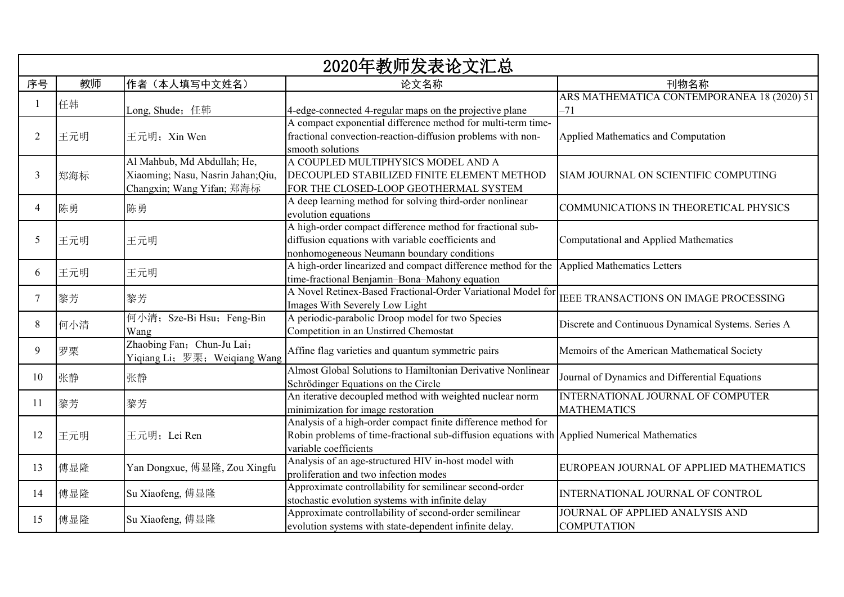| 2020年教师发表论文汇总  |     |                                    |                                                                                                               |                                                     |
|----------------|-----|------------------------------------|---------------------------------------------------------------------------------------------------------------|-----------------------------------------------------|
| 序号             | 教师  | 作者(本人填写中文姓名)                       | 论文名称                                                                                                          | 刊物名称                                                |
|                |     |                                    |                                                                                                               | ARS MATHEMATICA CONTEMPORANEA 18 (2020) 51          |
|                | 任韩  | Long, Shude; 任韩                    | 4-edge-connected 4-regular maps on the projective plane                                                       | -71                                                 |
|                |     |                                    | A compact exponential difference method for multi-term time-                                                  |                                                     |
| $\overline{2}$ | 王元明 | 王元明; Xin Wen                       | fractional convection-reaction-diffusion problems with non-                                                   | Applied Mathematics and Computation                 |
|                |     |                                    | smooth solutions                                                                                              |                                                     |
|                |     | Al Mahbub, Md Abdullah; He,        | A COUPLED MULTIPHYSICS MODEL AND A                                                                            |                                                     |
| 3              | 郑海标 | Xiaoming; Nasu, Nasrin Jahan; Qiu, | DECOUPLED STABILIZED FINITE ELEMENT METHOD                                                                    | SIAM JOURNAL ON SCIENTIFIC COMPUTING                |
|                |     | Changxin; Wang Yifan; 郑海标          | FOR THE CLOSED-LOOP GEOTHERMAL SYSTEM                                                                         |                                                     |
| $\overline{4}$ | 陈勇  | 陈勇                                 | A deep learning method for solving third-order nonlinear                                                      | COMMUNICATIONS IN THEORETICAL PHYSICS               |
|                |     |                                    | evolution equations                                                                                           |                                                     |
|                |     |                                    | A high-order compact difference method for fractional sub-                                                    |                                                     |
| 5              | 王元明 | 王元明                                | diffusion equations with variable coefficients and                                                            | Computational and Applied Mathematics               |
|                |     |                                    | nonhomogeneous Neumann boundary conditions                                                                    |                                                     |
| 6              | 王元明 | 王元明                                | A high-order linearized and compact difference method for the                                                 | Applied Mathematics Letters                         |
|                |     |                                    | time-fractional Benjamin-Bona-Mahony equation<br>A Novel Retinex-Based Fractional-Order Variational Model for |                                                     |
| $\overline{7}$ | 黎芳  | 黎芳                                 | Images With Severely Low Light                                                                                | <b>IEEE TRANSACTIONS ON IMAGE PROCESSING</b>        |
|                |     | 何小清; Sze-Bi Hsu; Feng-Bin          | A periodic-parabolic Droop model for two Species                                                              |                                                     |
| 8              | 何小清 | Wang                               | Competition in an Unstirred Chemostat                                                                         | Discrete and Continuous Dynamical Systems. Series A |
|                |     | Zhaobing Fan; Chun-Ju Lai;         |                                                                                                               |                                                     |
| 9              | 罗栗  | Yiqiang Li; 罗栗; Weiqiang Wang      | Affine flag varieties and quantum symmetric pairs                                                             | Memoirs of the American Mathematical Society        |
|                |     |                                    | Almost Global Solutions to Hamiltonian Derivative Nonlinear                                                   |                                                     |
| 10             | 张静  | 张静                                 | Schrödinger Equations on the Circle                                                                           | Journal of Dynamics and Differential Equations      |
|                |     |                                    | An iterative decoupled method with weighted nuclear norm                                                      | <b>INTERNATIONAL JOURNAL OF COMPUTER</b>            |
| 11             | 黎芳  | 黎芳                                 | minimization for image restoration                                                                            | <b>MATHEMATICS</b>                                  |
|                |     |                                    | Analysis of a high-order compact finite difference method for                                                 |                                                     |
| 12             | 王元明 | 王元明; Lei Ren                       | Robin problems of time-fractional sub-diffusion equations with Applied Numerical Mathematics                  |                                                     |
|                |     |                                    | variable coefficients                                                                                         |                                                     |
| 13             |     |                                    | Analysis of an age-structured HIV in-host model with                                                          | EUROPEAN JOURNAL OF APPLIED MATHEMATICS             |
|                | 傅显隆 | Yan Dongxue, 傅显隆, Zou Xingfu       | proliferation and two infection modes                                                                         |                                                     |
|                | 傅显隆 | Su Xiaofeng, 傅显隆                   | Approximate controllability for semilinear second-order                                                       | INTERNATIONAL JOURNAL OF CONTROL                    |
| 14             |     |                                    | stochastic evolution systems with infinite delay                                                              |                                                     |
| 15             | 傅显隆 | Su Xiaofeng, 傅显隆                   | Approximate controllability of second-order semilinear                                                        | JOURNAL OF APPLIED ANALYSIS AND                     |
|                |     |                                    | evolution systems with state-dependent infinite delay.                                                        | <b>COMPUTATION</b>                                  |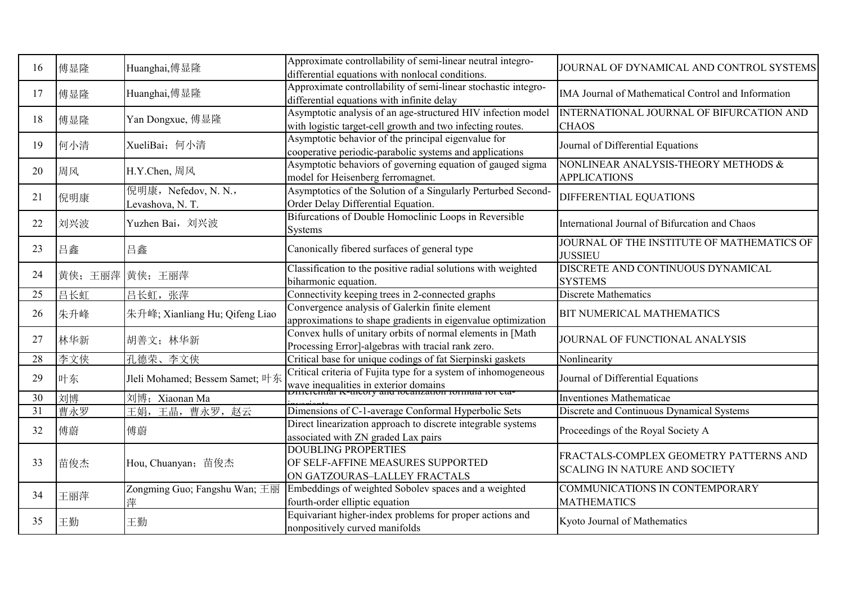| 16 | 傅显隆           | Huanghai,傅显隆                             | Approximate controllability of semi-linear neutral integro-<br>differential equations with nonlocal conditions.                                                   | JOURNAL OF DYNAMICAL AND CONTROL SYSTEMS                                       |
|----|---------------|------------------------------------------|-------------------------------------------------------------------------------------------------------------------------------------------------------------------|--------------------------------------------------------------------------------|
| 17 | 傅显隆           | Huanghai,傅显隆                             | Approximate controllability of semi-linear stochastic integro-<br>differential equations with infinite delay                                                      | IMA Journal of Mathematical Control and Information                            |
| 18 | 傅显隆           | Yan Dongxue, 傅显隆                         | Asymptotic analysis of an age-structured HIV infection model<br>with logistic target-cell growth and two infecting routes.                                        | INTERNATIONAL JOURNAL OF BIFURCATION AND<br><b>CHAOS</b>                       |
| 19 | 何小清           | XueliBai; 何小清                            | Asymptotic behavior of the principal eigenvalue for<br>cooperative periodic-parabolic systems and applications                                                    | Journal of Differential Equations                                              |
| 20 | 周风            | H.Y.Chen, 周风                             | Asymptotic behaviors of governing equation of gauged sigma<br>model for Heisenberg ferromagnet.                                                                   | NONLINEAR ANALYSIS-THEORY METHODS &<br><b>APPLICATIONS</b>                     |
| 21 | 倪明康           | 倪明康, Nefedov, N. N.,<br>Levashova, N. T. | Asymptotics of the Solution of a Singularly Perturbed Second-<br>Order Delay Differential Equation.                                                               | DIFFERENTIAL EQUATIONS                                                         |
| 22 | 刘兴波           | Yuzhen Bai, 刘兴波                          | Bifurcations of Double Homoclinic Loops in Reversible<br><b>Systems</b>                                                                                           | International Journal of Bifurcation and Chaos                                 |
| 23 | 吕鑫            | 吕鑫                                       | Canonically fibered surfaces of general type                                                                                                                      | JOURNAL OF THE INSTITUTE OF MATHEMATICS OF<br><b>JUSSIEU</b>                   |
| 24 | 黄侠;王丽萍 黄侠;王丽萍 |                                          | Classification to the positive radial solutions with weighted<br>biharmonic equation.                                                                             | DISCRETE AND CONTINUOUS DYNAMICAL<br><b>SYSTEMS</b>                            |
| 25 | 吕长虹           | 吕长虹, 张萍                                  | Connectivity keeping trees in 2-connected graphs                                                                                                                  | <b>Discrete Mathematics</b>                                                    |
| 26 | 朱升峰           | 朱升峰; Xianliang Hu; Qifeng Liao           | Convergence analysis of Galerkin finite element<br>approximations to shape gradients in eigenvalue optimization                                                   | BIT NUMERICAL MATHEMATICS                                                      |
| 27 | 林华新           | 胡善文; 林华新                                 | Convex hulls of unitary orbits of normal elements in [Math<br>Processing Error]-algebras with tracial rank zero.                                                  | JOURNAL OF FUNCTIONAL ANALYSIS                                                 |
| 28 | 李文侠           | 孔德荣、李文侠                                  | Critical base for unique codings of fat Sierpinski gaskets                                                                                                        | Nonlinearity                                                                   |
| 29 | 叶东            | Jleli Mohamed; Bessem Samet; 叶东          | Critical criteria of Fujita type for a system of inhomogeneous<br>wave inequalities in exterior domains<br>portenental K-theory and localization formula for eta- | Journal of Differential Equations                                              |
| 30 | 刘博            | 刘博; Xiaonan Ma                           |                                                                                                                                                                   | <b>Inventiones Mathematicae</b>                                                |
| 31 | 曹永罗           | 王晶,曹永罗,赵云<br>王娟,                         | Dimensions of C-1-average Conformal Hyperbolic Sets                                                                                                               | Discrete and Continuous Dynamical Systems                                      |
| 32 | 傅蔚            | 傅蔚                                       | Direct linearization approach to discrete integrable systems<br>associated with ZN graded Lax pairs                                                               | Proceedings of the Royal Society A                                             |
| 33 | 苗俊杰           | Hou, Chuanyan; 苗俊杰                       | <b>DOUBLING PROPERTIES</b><br>OF SELF-AFFINE MEASURES SUPPORTED<br>ON GATZOURAS-LALLEY FRACTALS                                                                   | FRACTALS-COMPLEX GEOMETRY PATTERNS AND<br><b>SCALING IN NATURE AND SOCIETY</b> |
| 34 | 王丽萍           | Zongming Guo; Fangshu Wan; 王丽<br>萍       | Embeddings of weighted Sobolev spaces and a weighted<br>fourth-order elliptic equation                                                                            | COMMUNICATIONS IN CONTEMPORARY<br><b>MATHEMATICS</b>                           |
| 35 | 王勤            | 王勤                                       | Equivariant higher-index problems for proper actions and<br>nonpositively curved manifolds                                                                        | Kyoto Journal of Mathematics                                                   |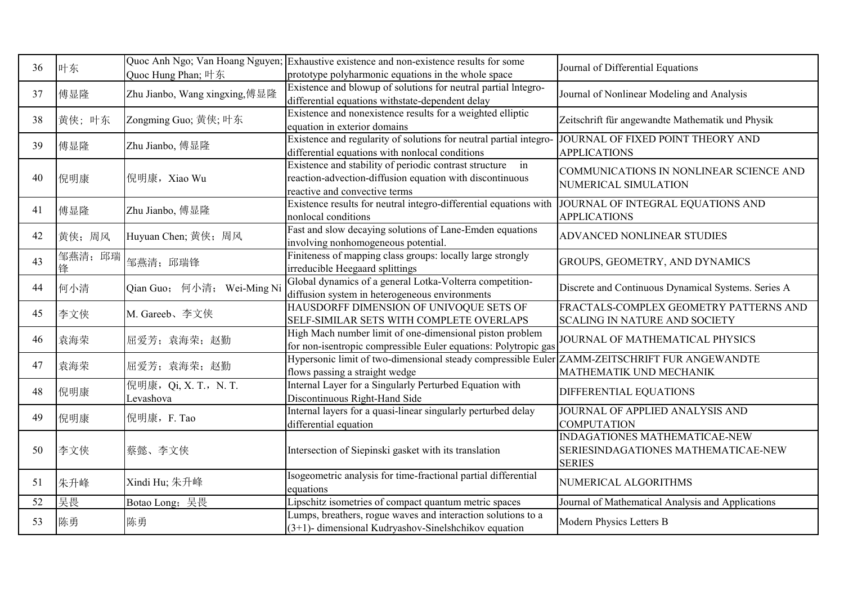| 36 | 叶东           | Quoc Hung Phan; 叶东                 | Quoc Anh Ngo; Van Hoang Nguyen; Exhaustive existence and non-existence results for some<br>prototype polyharmonic equations in the whole space         | Journal of Differential Equations                                                     |
|----|--------------|------------------------------------|--------------------------------------------------------------------------------------------------------------------------------------------------------|---------------------------------------------------------------------------------------|
| 37 | 傅显隆          | Zhu Jianbo, Wang xingxing,傅显隆      | Existence and blowup of solutions for neutral partial Integro-<br>differential equations withstate-dependent delay                                     | Journal of Nonlinear Modeling and Analysis                                            |
| 38 | 黄侠;叶东        | Zongming Guo; 黄侠; 叶东               | Existence and nonexistence results for a weighted elliptic<br>equation in exterior domains                                                             | Zeitschrift für angewandte Mathematik und Physik                                      |
| 39 | 傅显隆          | Zhu Jianbo, 傅显隆                    | Existence and regularity of solutions for neutral partial integro-<br>differential equations with nonlocal conditions                                  | JOURNAL OF FIXED POINT THEORY AND<br><b>APPLICATIONS</b>                              |
| 40 | 倪明康          | 倪明康, Xiao Wu                       | Existence and stability of periodic contrast structure in<br>reaction-advection-diffusion equation with discontinuous<br>reactive and convective terms | COMMUNICATIONS IN NONLINEAR SCIENCE AND<br>NUMERICAL SIMULATION                       |
| 41 | 傅显隆          | Zhu Jianbo, 傅显隆                    | Existence results for neutral integro-differential equations with<br>nonlocal conditions                                                               | JOURNAL OF INTEGRAL EQUATIONS AND<br><b>APPLICATIONS</b>                              |
| 42 | 黄侠;周风        | Huyuan Chen; 黄侠; 周风                | Fast and slow decaying solutions of Lane-Emden equations<br>involving nonhomogeneous potential.                                                        | ADVANCED NONLINEAR STUDIES                                                            |
| 43 | 邹燕清; 邱瑞<br>锋 | 邹燕清; 邱瑞锋                           | Finiteness of mapping class groups: locally large strongly<br>irreducible Heegaard splittings                                                          | GROUPS, GEOMETRY, AND DYNAMICS                                                        |
| 44 | 何小清          | Qian Guo; 何小清; Wei-Ming Ni         | Global dynamics of a general Lotka-Volterra competition-<br>diffusion system in heterogeneous environments                                             | Discrete and Continuous Dynamical Systems. Series A                                   |
| 45 | 李文侠          | M. Gareeb、李文侠                      | HAUSDORFF DIMENSION OF UNIVOQUE SETS OF<br>SELF-SIMILAR SETS WITH COMPLETE OVERLAPS                                                                    | FRACTALS-COMPLEX GEOMETRY PATTERNS AND<br><b>SCALING IN NATURE AND SOCIETY</b>        |
| 46 | 袁海荣          | 屈爱芳; 袁海荣; 赵勤                       | High Mach number limit of one-dimensional piston problem<br>for non-isentropic compressible Euler equations: Polytropic gas                            | JOURNAL OF MATHEMATICAL PHYSICS                                                       |
| 47 | 袁海荣          | 屈爱芳; 袁海荣; 赵勤                       | Hypersonic limit of two-dimensional steady compressible Euler<br>flows passing a straight wedge                                                        | ZAMM-ZEITSCHRIFT FUR ANGEWANDTE<br>MATHEMATIK UND MECHANIK                            |
| 48 | 倪明康          | 倪明康, Qi, X. T., N. T.<br>Levashova | Internal Layer for a Singularly Perturbed Equation with<br>Discontinuous Right-Hand Side                                                               | DIFFERENTIAL EQUATIONS                                                                |
| 49 | 倪明康          | 倪明康, F. Tao                        | Internal layers for a quasi-linear singularly perturbed delay<br>differential equation                                                                 | JOURNAL OF APPLIED ANALYSIS AND<br><b>COMPUTATION</b>                                 |
| 50 | 李文侠          | 蔡懿、李文侠                             | Intersection of Siepinski gasket with its translation                                                                                                  | INDAGATIONES MATHEMATICAE-NEW<br>SERIESINDAGATIONES MATHEMATICAE-NEW<br><b>SERIES</b> |
| 51 | 朱升峰          | Xindi Hu; 朱升峰                      | Isogeometric analysis for time-fractional partial differential<br>equations                                                                            | NUMERICAL ALGORITHMS                                                                  |
| 52 | 吴畏           | Botao Long; 吴畏                     | Lipschitz isometries of compact quantum metric spaces                                                                                                  | Journal of Mathematical Analysis and Applications                                     |
| 53 | 陈勇           | 陈勇                                 | Lumps, breathers, rogue waves and interaction solutions to a<br>$(3+1)$ - dimensional Kudryashov-Sinelshchikov equation                                | Modern Physics Letters B                                                              |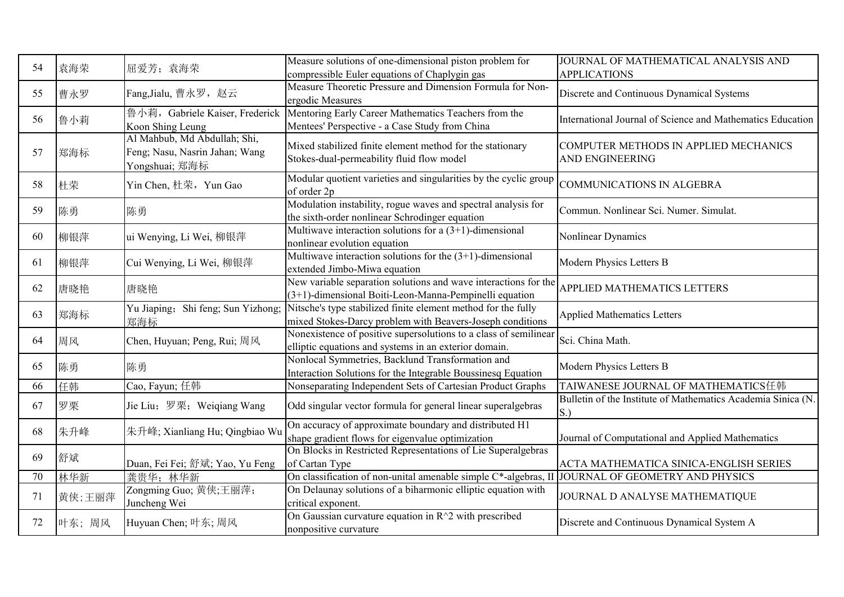| 54 | 袁海荣    | 屈爱芳; 袁海荣                                                                         | Measure solutions of one-dimensional piston problem for<br>compressible Euler equations of Chaplygin gas                     | JOURNAL OF MATHEMATICAL ANALYSIS AND<br><b>APPLICATIONS</b>        |
|----|--------|----------------------------------------------------------------------------------|------------------------------------------------------------------------------------------------------------------------------|--------------------------------------------------------------------|
| 55 | 曹永罗    | Fang, Jialu, 曹永罗, 赵云                                                             | Measure Theoretic Pressure and Dimension Formula for Non-<br>ergodic Measures                                                | Discrete and Continuous Dynamical Systems                          |
| 56 | 鲁小莉    | 鲁小莉, Gabriele Kaiser, Frederick<br>Koon Shing Leung                              | Mentoring Early Career Mathematics Teachers from the<br>Mentees' Perspective - a Case Study from China                       | International Journal of Science and Mathematics Education         |
| 57 | 郑海标    | Al Mahbub, Md Abdullah; Shi,<br>Feng; Nasu, Nasrin Jahan; Wang<br>Yongshuai; 郑海标 | Mixed stabilized finite element method for the stationary<br>Stokes-dual-permeability fluid flow model                       | COMPUTER METHODS IN APPLIED MECHANICS<br><b>AND ENGINEERING</b>    |
| 58 | 杜荣     | Yin Chen, 杜荣, Yun Gao                                                            | Modular quotient varieties and singularities by the cyclic group<br>of order 2p                                              | COMMUNICATIONS IN ALGEBRA                                          |
| 59 | 陈勇     | 陈勇                                                                               | Modulation instability, rogue waves and spectral analysis for<br>the sixth-order nonlinear Schrodinger equation              | Commun. Nonlinear Sci. Numer. Simulat.                             |
| 60 | 柳银萍    | ui Wenying, Li Wei, 柳银萍                                                          | Multiwave interaction solutions for a $(3+1)$ -dimensional<br>nonlinear evolution equation                                   | Nonlinear Dynamics                                                 |
| 61 | 柳银萍    | Cui Wenying, Li Wei, 柳银萍                                                         | Multiwave interaction solutions for the $(3+1)$ -dimensional<br>extended Jimbo-Miwa equation                                 | Modern Physics Letters B                                           |
| 62 | 唐晓艳    | 唐晓艳                                                                              | New variable separation solutions and wave interactions for the<br>$(3+1)$ -dimensional Boiti-Leon-Manna-Pempinelli equation | APPLIED MATHEMATICS LETTERS                                        |
| 63 | 郑海标    | Yu Jiaping; Shi feng; Sun Yizhong;<br>郑海标                                        | Nitsche's type stabilized finite element method for the fully<br>mixed Stokes-Darcy problem with Beavers-Joseph conditions   | <b>Applied Mathematics Letters</b>                                 |
| 64 | 周风     | Chen, Huyuan; Peng, Rui; 周风                                                      | Nonexistence of positive supersolutions to a class of semilinear<br>elliptic equations and systems in an exterior domain.    | Sci. China Math.                                                   |
| 65 | 陈勇     | 陈勇                                                                               | Nonlocal Symmetries, Backlund Transformation and<br>Interaction Solutions for the Integrable Boussinesq Equation             | Modern Physics Letters B                                           |
| 66 | 任韩     | Cao, Fayun; 任韩                                                                   | Nonseparating Independent Sets of Cartesian Product Graphs                                                                   | TAIWANESE JOURNAL OF MATHEMATICS任韩                                 |
| 67 | 罗栗     | Jie Liu; 罗栗; Weiqiang Wang                                                       | Odd singular vector formula for general linear superalgebras                                                                 | Bulletin of the Institute of Mathematics Academia Sinica (N.<br>S. |
| 68 | 朱升峰    | 朱升峰; Xianliang Hu; Qingbiao Wu                                                   | On accuracy of approximate boundary and distributed H1<br>shape gradient flows for eigenvalue optimization                   | Journal of Computational and Applied Mathematics                   |
| 69 | 舒斌     | Duan, Fei Fei; 舒斌; Yao, Yu Feng                                                  | On Blocks in Restricted Representations of Lie Superalgebras<br>of Cartan Type                                               | ACTA MATHEMATICA SINICA-ENGLISH SERIES                             |
| 70 | 林华新    | 龚贵华; 林华新                                                                         | On classification of non-unital amenable simple C*-algebras, II JOURNAL OF GEOMETRY AND PHYSICS                              |                                                                    |
| 71 | 黄侠;王丽萍 | Zongming Guo; 黄侠;王丽萍;<br>Juncheng Wei                                            | On Delaunay solutions of a biharmonic elliptic equation with<br>critical exponent.                                           | JOURNAL D ANALYSE MATHEMATIQUE                                     |
| 72 | 叶东;周风  | Huyuan Chen; 叶东; 周风                                                              | On Gaussian curvature equation in $R^2$ with prescribed<br>nonpositive curvature                                             | Discrete and Continuous Dynamical System A                         |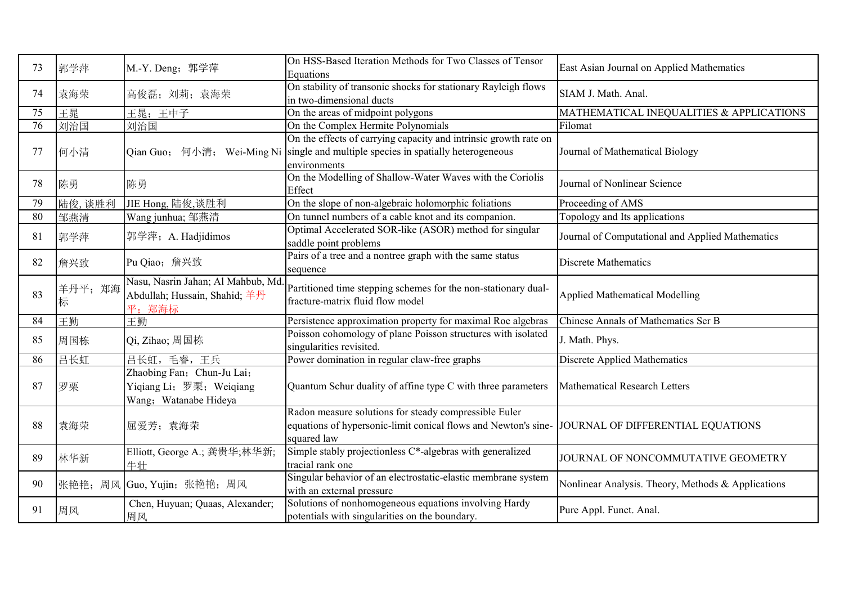| 73 | 郭学萍          | M.-Y. Deng; 郭学萍                                                                 | On HSS-Based Iteration Methods for Two Classes of Tensor<br>Equations                                                                      | East Asian Journal on Applied Mathematics          |
|----|--------------|---------------------------------------------------------------------------------|--------------------------------------------------------------------------------------------------------------------------------------------|----------------------------------------------------|
| 74 | 袁海荣          | 高俊磊; 刘莉; 袁海荣                                                                    | On stability of transonic shocks for stationary Rayleigh flows<br>in two-dimensional ducts                                                 | SIAM J. Math. Anal.                                |
| 75 | 王晁           | 王晁;王中子                                                                          | On the areas of midpoint polygons                                                                                                          | MATHEMATICAL INEQUALITIES & APPLICATIONS           |
| 76 | 刘治国          | 刘治国                                                                             | On the Complex Hermite Polynomials                                                                                                         | Filomat                                            |
| 77 | 何小清          | Qian Guo; 何小清; Wei-Ming Ni                                                      | On the effects of carrying capacity and intrinsic growth rate on<br>single and multiple species in spatially heterogeneous<br>environments | Journal of Mathematical Biology                    |
| 78 | 陈勇           | 陈勇                                                                              | On the Modelling of Shallow-Water Waves with the Coriolis<br>Effect                                                                        | Journal of Nonlinear Science                       |
| 79 | 陆俊,谈胜利       | JIE Hong, 陆俊,谈胜利                                                                | On the slope of non-algebraic holomorphic foliations                                                                                       | Proceeding of AMS                                  |
| 80 | 邹燕清          | Wang junhua; 邹燕清                                                                | On tunnel numbers of a cable knot and its companion.                                                                                       | Topology and Its applications                      |
| 81 | 郭学萍          | 郭学萍; A. Hadjidimos                                                              | Optimal Accelerated SOR-like (ASOR) method for singular<br>saddle point problems                                                           | Journal of Computational and Applied Mathematics   |
| 82 | 詹兴致          | Pu Qiao; 詹兴致                                                                    | Pairs of a tree and a nontree graph with the same status<br>sequence                                                                       | <b>Discrete Mathematics</b>                        |
| 83 | 羊丹平; 郑海<br>标 | Nasu, Nasrin Jahan; Al Mahbub, Md<br>Abdullah; Hussain, Shahid; 羊丹<br>平:郑海标     | Partitioned time stepping schemes for the non-stationary dual-<br>fracture-matrix fluid flow model                                         | <b>Applied Mathematical Modelling</b>              |
| 84 | 王勤           | 干勤                                                                              | Persistence approximation property for maximal Roe algebras                                                                                | Chinese Annals of Mathematics Ser B                |
| 85 | 周国栋          | Qi, Zihao; 周国栋                                                                  | Poisson cohomology of plane Poisson structures with isolated<br>singularities revisited.                                                   | J. Math. Phys.                                     |
| 86 | 吕长虹          | 吕长虹,毛睿,王兵                                                                       | Power domination in regular claw-free graphs                                                                                               | <b>Discrete Applied Mathematics</b>                |
| 87 | 罗栗           | Zhaobing Fan; Chun-Ju Lai;<br>Yiqiang Li; 罗栗; Weiqiang<br>Wang; Watanabe Hideya | Quantum Schur duality of affine type C with three parameters                                                                               | <b>Mathematical Research Letters</b>               |
| 88 | 袁海荣          | 屈爱芳; 袁海荣                                                                        | Radon measure solutions for steady compressible Euler<br>equations of hypersonic-limit conical flows and Newton's sine-<br>squared law     | JOURNAL OF DIFFERENTIAL EQUATIONS                  |
| 89 | 林华新          | Elliott, George A.; 龚贵华;林华新;<br>牛壮                                              | Simple stably projectionless C*-algebras with generalized<br>tracial rank one                                                              | JOURNAL OF NONCOMMUTATIVE GEOMETRY                 |
| 90 | 张艳艳; 周风      | Guo, Yujin; 张艳艳; 周风                                                             | Singular behavior of an electrostatic-elastic membrane system<br>with an external pressure                                                 | Nonlinear Analysis. Theory, Methods & Applications |
| 91 | 周风           | Chen, Huyuan; Quaas, Alexander;<br>周风                                           | Solutions of nonhomogeneous equations involving Hardy<br>potentials with singularities on the boundary.                                    | Pure Appl. Funct. Anal.                            |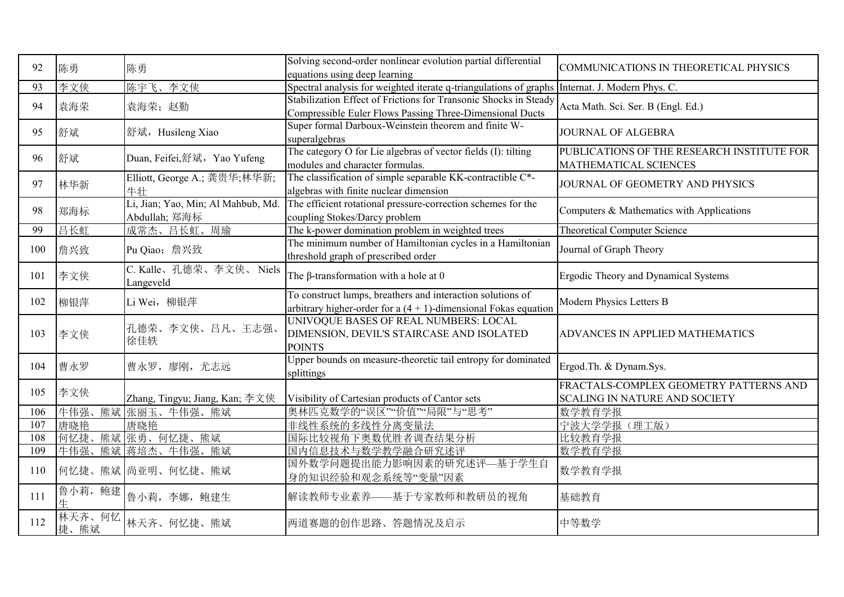| 92  | 陈勇                 | 陈勇                                                  | Solving second-order nonlinear evolution partial differential<br>equations using deep learning                                   | COMMUNICATIONS IN THEORETICAL PHYSICS                                   |
|-----|--------------------|-----------------------------------------------------|----------------------------------------------------------------------------------------------------------------------------------|-------------------------------------------------------------------------|
| 93  | 李文侠                | 陈宇飞、李文侠                                             | Spectral analysis for weighted iterate q-triangulations of graphs                                                                | Internat. J. Modern Phys. C.                                            |
| 94  | 袁海荣                | 袁海荣;赵勤                                              | Stabilization Effect of Frictions for Transonic Shocks in Steady<br>Compressible Euler Flows Passing Three-Dimensional Ducts     | Acta Math. Sci. Ser. B (Engl. Ed.)                                      |
| 95  | 舒斌                 | 舒斌, Husileng Xiao                                   | Super formal Darboux-Weinstein theorem and finite W-<br>superalgebras                                                            | JOURNAL OF ALGEBRA                                                      |
| 96  | 舒斌                 | Duan, Feifei,舒斌, Yao Yufeng                         | The category O for Lie algebras of vector fields (I): tilting<br>modules and character formulas.                                 | PUBLICATIONS OF THE RESEARCH INSTITUTE FOR<br>MATHEMATICAL SCIENCES     |
| 97  | 林华新                | Elliott, George A.; 龚贵华;林华新;<br>牛壮                  | The classification of simple separable KK-contractible C*-<br>algebras with finite nuclear dimension                             | JOURNAL OF GEOMETRY AND PHYSICS                                         |
| 98  | 郑海标                | Li, Jian; Yao, Min; Al Mahbub, Md.<br>Abdullah; 郑海标 | The efficient rotational pressure-correction schemes for the<br>coupling Stokes/Darcy problem                                    | Computers & Mathematics with Applications                               |
| 99  | 吕长虹                | 成常杰、吕长虹、周瑜                                          | The k-power domination problem in weighted trees                                                                                 | Theoretical Computer Science                                            |
| 100 | 詹兴致                | Pu Qiao; 詹兴致                                        | The minimum number of Hamiltonian cycles in a Hamiltonian<br>threshold graph of prescribed order                                 | Journal of Graph Theory                                                 |
| 101 | 李文侠                | C. Kalle、孔德荣、李文侠、 Niels<br>Langeveld                | The $\beta$ -transformation with a hole at 0                                                                                     | Ergodic Theory and Dynamical Systems                                    |
| 102 | 柳银萍                | Li Wei, 柳银萍                                         | To construct lumps, breathers and interaction solutions of<br>arbitrary higher-order for a $(4 + 1)$ -dimensional Fokas equation | Modern Physics Letters B                                                |
| 103 | 李文侠                | 孔德荣、李文侠、吕凡、王志强、<br>徐佳轶                              | UNIVOQUE BASES OF REAL NUMBERS: LOCAL<br>DIMENSION, DEVIL'S STAIRCASE AND ISOLATED<br><b>POINTS</b>                              | ADVANCES IN APPLIED MATHEMATICS                                         |
| 104 | 曹永罗                | 曹永罗, 廖刚, 尤志远                                        | Upper bounds on measure-theoretic tail entropy for dominated<br>splittings                                                       | Ergod.Th. & Dynam.Sys.                                                  |
| 105 | 李文侠                | Zhang, Tingyu; Jiang, Kan; 李文侠                      | Visibility of Cartesian products of Cantor sets                                                                                  | FRACTALS-COMPLEX GEOMETRY PATTERNS AND<br>SCALING IN NATURE AND SOCIETY |
| 106 | 牛伟强、               | 熊斌 张丽玉、牛伟强、熊斌                                       | 奥林匹克数学的"误区""价值""局限"与"思考"                                                                                                         | 数学教育学报                                                                  |
| 107 | 唐晓艳                | 唐晓艳                                                 | 非线性系统的多线性分离变量法                                                                                                                   | 宁波大学学报(理工版)                                                             |
| 108 | 何忆捷、               | 熊斌 张勇、何忆捷、熊斌                                        | 国际比较视角下奥数优胜者调查结果分析                                                                                                               | 比较教育学报                                                                  |
| 109 | 牛伟强、               | 熊斌 蒋培杰、牛伟强、熊斌                                       | 国内信息技术与数学教学融合研究述评                                                                                                                | 数学教育学报                                                                  |
| 110 |                    | 何忆捷、熊斌 尚亚明、何忆捷、熊斌                                   | 国外数学问题提出能力影响因素的研究述评—基于学生自<br>身的知识经验和观念系统等"变量"因素                                                                                  | 数学教育学报                                                                  |
| 111 | 鲁小莉, 鲍建            | 鲁小莉, 李娜, 鲍建生                                        | 解读教师专业素养——基于专家教师和教研员的视角                                                                                                          | 基础教育                                                                    |
| 112 | 林天齐、何忆<br>熊斌<br>捷、 | 林天齐、何忆捷、熊斌                                          | 两道赛题的创作思路、答题情况及启示                                                                                                                | 中等数学                                                                    |